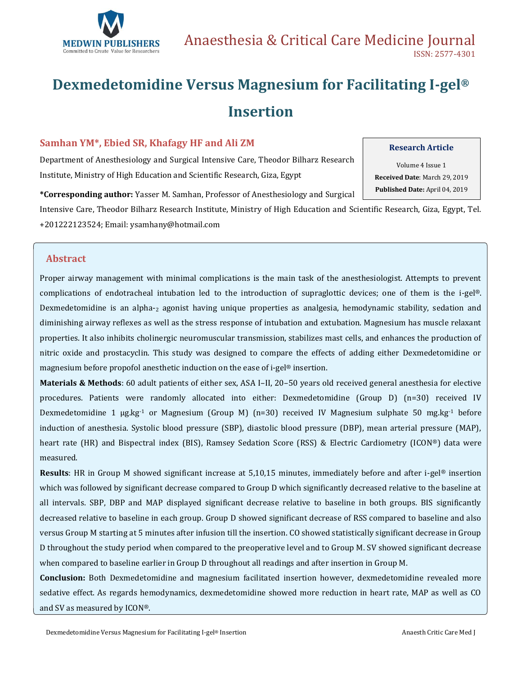

# **Dexmedetomidine Versus Magnesium for Facilitating I-gel® Insertion**

#### **Samhan YM\*, Ebied SR, Khafagy HF and Ali ZM**

Department of Anesthesiology and Surgical Intensive Care, Theodor Bilharz Research Institute, Ministry of High Education and Scientific Research, Giza, Egypt

**\*Corresponding author:** Yasser M. Samhan, Professor of Anesthesiology and Surgical

Intensive Care, Theodor Bilharz Research Institute, Ministry of High Education and Scientific Research, Giza, Egypt, Tel. +201222123524; Email: [ysamhany@hotmail.com](mailto:ysamhany@hotmail.com)

### **Abstract**

Proper airway management with minimal complications is the main task of the anesthesiologist. Attempts to prevent complications of endotracheal intubation led to the introduction of supraglottic devices; one of them is the i-gel®. Dexmedetomidine is an alpha-<sup>2</sup> agonist having unique properties as analgesia, hemodynamic stability, sedation and diminishing airway reflexes as well as the stress response of intubation and extubation. Magnesium has muscle relaxant properties. It also inhibits cholinergic neuromuscular transmission, stabilizes mast cells, and enhances the production of nitric oxide and prostacyclin. This study was designed to compare the effects of adding either Dexmedetomidine or magnesium before propofol anesthetic induction on the ease of i-gel® insertion.

**Materials & Methods**: 60 adult patients of either sex, ASA I–II, 20–50 years old received general anesthesia for elective procedures. Patients were randomly allocated into either: Dexmedetomidine (Group D) (n=30) received IV Dexmedetomidine 1  $\mu$ g.kg<sup>-1</sup> or Magnesium (Group M) (n=30) received IV Magnesium sulphate 50 mg.kg<sup>-1</sup> before induction of anesthesia. Systolic blood pressure (SBP), diastolic blood pressure (DBP), mean arterial pressure (MAP), heart rate (HR) and Bispectral index (BIS), Ramsey Sedation Score (RSS) & Electric Cardiometry (ICON®) data were measured.

**Results**: HR in Group M showed significant increase at 5,10,15 minutes, immediately before and after i-gel® insertion which was followed by significant decrease compared to Group D which significantly decreased relative to the baseline at all intervals. SBP, DBP and MAP displayed significant decrease relative to baseline in both groups. BIS significantly decreased relative to baseline in each group. Group D showed significant decrease of RSS compared to baseline and also versus Group M starting at 5 minutes after infusion till the insertion. CO showed statistically significant decrease in Group D throughout the study period when compared to the preoperative level and to Group M. SV showed significant decrease when compared to baseline earlier in Group D throughout all readings and after insertion in Group M.

**Conclusion:** Both Dexmedetomidine and magnesium facilitated insertion however, dexmedetomidine revealed more sedative effect. As regards hemodynamics, dexmedetomidine showed more reduction in heart rate, MAP as well as CO and SV as measured by ICON®.

### **Research Article**

Volume 4 Issue 1 **Received Date**: March 29, 2019 **Published Date:** April 04, 2019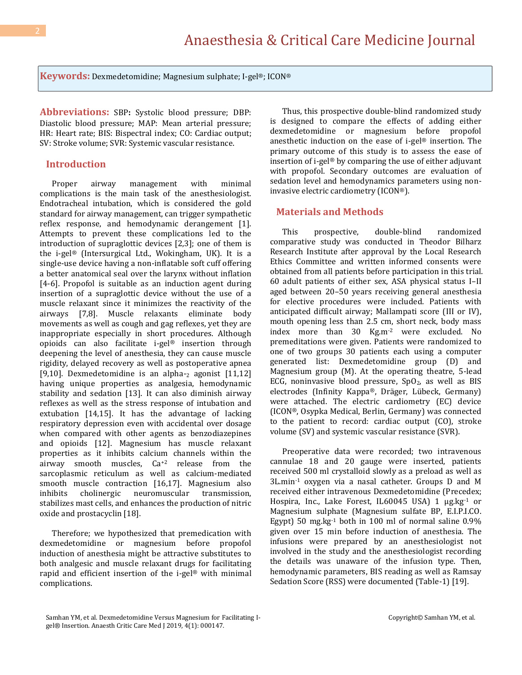**Keywords:** Dexmedetomidine; Magnesium sulphate; I-gel®; ICON®

**Abbreviations:** SBP**:** Systolic blood pressure; DBP: Diastolic blood pressure; MAP: Mean arterial pressure; HR: Heart rate; BIS: Bispectral index; CO: Cardiac output; SV: Stroke volume; SVR: Systemic vascular resistance.

#### **Introduction**

Proper airway management with minimal complications is the main task of the anesthesiologist. Endotracheal intubation, which is considered the gold standard for airway management, can trigger sympathetic reflex response, and hemodynamic derangement [1]. Attempts to prevent these complications led to the introduction of supraglottic devices [2,3]; one of them is the i-gel® (Intersurgical Ltd., Wokingham, UK). It is a single-use device having a non-inflatable soft cuff offering a better anatomical seal over the larynx without inflation [4-6]. Propofol is suitable as an induction agent during insertion of a supraglottic device without the use of a muscle relaxant since it minimizes the reactivity of the airways [7,8]. Muscle relaxants eliminate body movements as well as cough and gag reflexes, yet they are inappropriate especially in short procedures. Although opioids can also facilitate i-gel® insertion through deepening the level of anesthesia, they can cause muscle rigidity, delayed recovery as well as postoperative apnea [9,10]. Dexmedetomidine is an alpha- $_2$  agonist [11,12] having unique properties as analgesia, hemodynamic stability and sedation [13]. It can also diminish airway reflexes as well as the stress response of intubation and extubation [14,15]. It has the advantage of lacking respiratory depression even with accidental over dosage when compared with other agents as benzodiazepines and opioids [12]. Magnesium has muscle relaxant properties as it inhibits calcium channels within the airway smooth muscles, Ca+2 release from the sarcoplasmic reticulum as well as calcium-mediated smooth muscle contraction [16,17]. Magnesium also inhibits cholinergic neuromuscular transmission, stabilizes mast cells, and enhances the production of nitric oxide and prostacyclin [18].

Therefore; we hypothesized that premedication with dexmedetomidine or magnesium before propofol induction of anesthesia might be attractive substitutes to both analgesic and muscle relaxant drugs for facilitating rapid and efficient insertion of the i-gel® with minimal complications.

Thus, this prospective double-blind randomized study is designed to compare the effects of adding either dexmedetomidine or magnesium before propofol anesthetic induction on the ease of i-gel® insertion. The primary outcome of this study is to assess the ease of insertion of i-gel® by comparing the use of either adjuvant with propofol. Secondary outcomes are evaluation of sedation level and hemodynamics parameters using noninvasive electric cardiometry (ICON®).

#### **Materials and Methods**

This prospective, double-blind randomized comparative study was conducted in Theodor Bilharz Research Institute after approval by the Local Research Ethics Committee and written informed consents were obtained from all patients before participation in this trial. 60 adult patients of either sex, ASA physical status I–II aged between 20–50 years receiving general anesthesia for elective procedures were included. Patients with anticipated difficult airway; Mallampati score (III or IV), mouth opening less than 2.5 cm, short neck, body mass index more than 30 Kg.m-2 were excluded. No premeditations were given. Patients were randomized to one of two groups 30 patients each using a computer generated list: Dexmedetomidine group (D) and Magnesium group (M). At the operating theatre, 5-lead ECG, noninvasive blood pressure,  $SpO<sub>2</sub>$ , as well as BIS electrodes (Infinity Kappa®, Dräger, Lübeck, Germany) were attached. The electric cardiometry (EC) device (ICON®, Osypka Medical, Berlin, Germany) was connected to the patient to record: cardiac output (CO), stroke volume (SV) and systemic vascular resistance (SVR).

Preoperative data were recorded; two intravenous cannulae 18 and 20 gauge were inserted, patients received 500 ml crystalloid slowly as a preload as well as 3L.min-1 oxygen via a nasal catheter. Groups D and M received either intravenous Dexmedetomidine (Precedex; Hospira, Inc., Lake Forest, IL60045 USA) 1 µg.kg-1 or Magnesium sulphate (Magnesium sulfate BP, E.I.P.I.CO. Egypt) 50 mg.kg-1 both in 100 ml of normal saline 0.9% given over 15 min before induction of anesthesia. The infusions were prepared by an anesthesiologist not involved in the study and the anesthesiologist recording the details was unaware of the infusion type. Then, hemodynamic parameters, BIS reading as well as Ramsay Sedation Score (RSS) were documented (Table-1) [19].

Samhan YM, et al. Dexmedetomidine Versus Magnesium for Facilitating Igel® Insertion. Anaesth Critic Care Med J 2019, 4(1): 000147.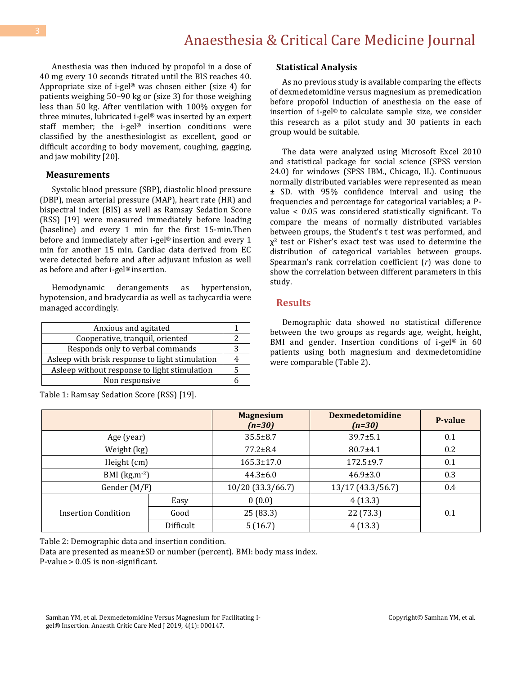Anesthesia was then induced by propofol in a dose of 40 mg every 10 seconds titrated until the BIS reaches 40. Appropriate size of i-gel® was chosen either (size 4) for patients weighing 50–90 kg or (size 3) for those weighing less than 50 kg. After ventilation with 100% oxygen for three minutes, lubricated i-gel® was inserted by an expert staff member; the i-gel® insertion conditions were classified by the anesthesiologist as excellent, good or difficult according to body movement, coughing, gagging, and jaw mobility [20].

#### **Measurements**

Systolic blood pressure (SBP), diastolic blood pressure (DBP), mean arterial pressure (MAP), heart rate (HR) and bispectral index (BIS) as well as Ramsay Sedation Score (RSS) [19] were measured immediately before loading (baseline) and every 1 min for the first 15-min.Then before and immediately after i-gel® insertion and every 1 min for another 15 min. Cardiac data derived from EC were detected before and after adjuvant infusion as well as before and after i-gel® insertion.

Hemodynamic derangements as hypertension, hypotension, and bradycardia as well as tachycardia were managed accordingly.

| Anxious and agitated                            |  |  |  |  |  |  |  |
|-------------------------------------------------|--|--|--|--|--|--|--|
| Cooperative, tranquil, oriented                 |  |  |  |  |  |  |  |
| Responds only to verbal commands                |  |  |  |  |  |  |  |
| Asleep with brisk response to light stimulation |  |  |  |  |  |  |  |
| Asleep without response to light stimulation    |  |  |  |  |  |  |  |
| Non responsive                                  |  |  |  |  |  |  |  |
|                                                 |  |  |  |  |  |  |  |

Table 1: Ramsay Sedation Score (RSS) [19].

#### **Statistical Analysis**

As no previous study is available comparing the effects of dexmedetomidine versus magnesium as premedication before propofol induction of anesthesia on the ease of insertion of i-gel® to calculate sample size, we consider this research as a pilot study and 30 patients in each group would be suitable.

The data were analyzed using Microsoft Excel 2010 and statistical package for social science (SPSS version 24.0) for windows (SPSS IBM., Chicago, IL). Continuous normally distributed variables were represented as mean ± SD. with 95% confidence interval and using the frequencies and percentage for categorical variables; a Pvalue < 0.05 was considered statistically significant. To compare the means of normally distributed variables between groups, the Student's t test was performed, and  $\chi^2$  test or Fisher's exact test was used to determine the distribution of categorical variables between groups. Spearman's rank correlation coefficient (*r*) was done to show the correlation between different parameters in this study.

#### **Results**

Demographic data showed no statistical difference between the two groups as regards age, weight, height, BMI and gender. Insertion conditions of i-gel® in 60 patients using both magnesium and dexmedetomidine were comparable (Table 2).

|                     |           | <b>Magnesium</b><br>$(n=30)$ | <b>Dexmedetomidine</b><br>$(n=30)$ | P-value |
|---------------------|-----------|------------------------------|------------------------------------|---------|
| Age (year)          |           | $35.5 \pm 8.7$               | $39.7 \pm 5.1$                     |         |
| Weight (kg)         |           | $77.2 \pm 8.4$               | $80.7 \pm 4.1$                     | 0.2     |
| Height (cm)         |           | $165.3 \pm 17.0$             | $172.5 \pm 9.7$                    |         |
| BMI $(kg,m^{-2})$   |           | $44.3 \pm 6.0$               | $46.9 \pm 3.0$                     | 0.3     |
| Gender (M/F)        |           | 10/20 (33.3/66.7)            | 13/17 (43.3/56.7)                  | 0.4     |
|                     | Easy      | 0(0.0)                       | 4(13.3)                            |         |
| Insertion Condition | Good      | 25(83.3)                     | 22 (73.3)                          | 0.1     |
|                     | Difficult | 5(16.7)                      | 4(13.3)                            |         |

Table 2: Demographic data and insertion condition.

Data are presented as mean±SD or number (percent). BMI: body mass index. P-value > 0.05 is non-significant.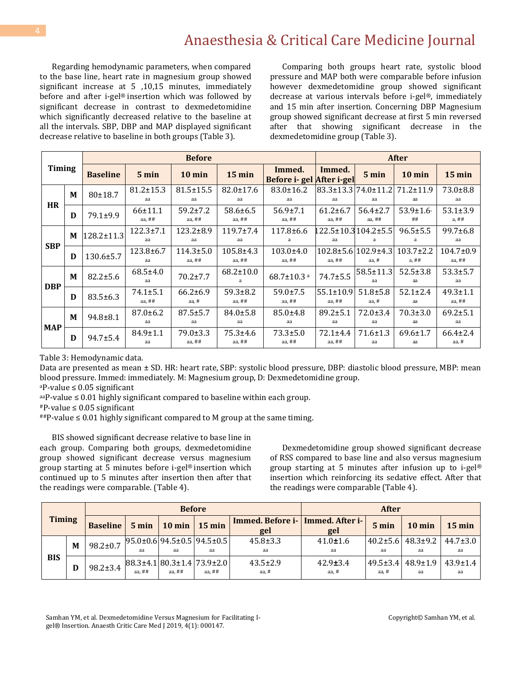Regarding hemodynamic parameters, when compared to the base line, heart rate in magnesium group showed significant increase at 5 ,10,15 minutes, immediately before and after i-gel® insertion which was followed by significant decrease in contrast to dexmedetomidine which significantly decreased relative to the baseline at all the intervals. SBP, DBP and MAP displayed significant decrease relative to baseline in both groups (Table 3).

Comparing both groups heart rate, systolic blood pressure and MAP both were comparable before infusion however dexmedetomidine group showed significant decrease at various intervals before i-gel®, immediately and 15 min after insertion. Concerning DBP Magnesium group showed significant decrease at first 5 min reversed after that showing significant decrease in the dexmedetomidine group (Table 3).

|            |   |                 |                            | <b>Before</b>               |                             | <b>After</b>                       |                                     |                                                  |                          |                             |
|------------|---|-----------------|----------------------------|-----------------------------|-----------------------------|------------------------------------|-------------------------------------|--------------------------------------------------|--------------------------|-----------------------------|
| Timing     |   | <b>Baseline</b> | $5 \text{ min}$            | $10 \text{ min}$            | $15 \text{ min}$            | Immed.<br>Before i-gel After i-gel | Immed.                              | $5 \text{ min}$                                  | $10 \text{ min}$         | 15 min                      |
| <b>HR</b>  | M | $80+18.7$       | $81.2 \pm 15.3$<br>aa      | $81.5 \pm 15.5$<br>aa       | $82.0 \pm 17.6$<br>aa       | $83.0 \pm 16.2$<br>aa              | 83.3±13.3 74.0±11.2 <br>aa          | aa                                               | $71.2 \pm 11.9$<br>aa    | $73.0 \pm 8.8$<br>aa        |
|            | D | $79.1 \pm 9.9$  | $66 + 11.1$<br>aa, $##$    | $59.2 \pm 7.2$<br>aa, $##$  | $58.6 \pm 6.5$<br>aa, $##$  | $56.9 \pm 7.1$<br>aa, $##$         | $61.2 \pm 6.7$<br>aa, ##            | $56.4 \pm 2.7$<br>aa, $##$                       | $53.9 \pm 1.6$<br>##     | $53.1 \pm 3.9$<br>a, ##     |
| <b>SBP</b> | M | 128.2±11.3      | $122.3 \pm 7.1$<br>aa      | $123.2 \pm 8.9$<br>aa       | $119.7 \pm 7.4$<br>aa       | $117.8 \pm 6.6$<br>a               | $122.5 \pm 10.3104.2 \pm 5.5$<br>aa | a                                                | $96.5 \pm 5.5$<br>a      | 99.7±6.8<br>aa              |
|            | D | 130.6±5.7       | 123.8±6.7<br>aa            | $114.3 \pm 5.0$<br>aa, $##$ | $105.8 \pm 4.3$<br>aa, $##$ | $103.0 \pm 4.0$<br>aa, $##$        | aa, ##                              | $102.8 \pm 5.6 \mid 102.9 \pm 4.3 \mid$<br>aa, # | $103.7 \pm 2.2$<br>a, ## | $104.7 \pm 0.9$<br>aa, $##$ |
|            | M | $82.2 \pm 5.6$  | $68.5 \pm 4.0$<br>aa       | $70.2 \pm 7.7$              | $68.2 \pm 10.0$             | $68.7 \pm 10.3$ <sup>a</sup>       | $74.7 \pm 5.5$                      | $58.5 \pm 11.3$<br>аа                            | $52.5 \pm 3.8$<br>aa     | $53.3 \pm 5.7$<br>aa        |
| <b>DBP</b> | D | $83.5 \pm 6.3$  | $74.1 \pm 5.1$<br>aa, $##$ | $66.2 \pm 6.9$<br>aa, #     | $59.3 \pm 8.2$<br>aa, $##$  | $59.0 \pm 7.5$<br>aa, $##$         | $55.1 \pm 10.9$<br>aa, $##$         | $51.8 \pm 5.8$<br>aa, $#$                        | $52.1 \pm 2.4$<br>aa     | $49.3 \pm 1.1$<br>aa, $##$  |
| <b>MAP</b> | M | $94.8 \pm 8.1$  | $87.0 \pm 6.2$<br>aa       | $87.5 \pm 5.7$<br>aa        | $84.0 \pm 5.8$<br>aa        | $85.0 \pm 4.8$<br>aa               | $89.2 \pm 5.1$<br>aa                | $72.0 \pm 3.4$<br>aa                             | $70.3 \pm 3.0$<br>aa     | $69.2 \pm 5.1$<br>aa        |
|            | D | $94.7 \pm 5.4$  | $84.9 \pm 1.1$<br>aa       | $79.0 \pm 3.3$<br>aa. $##$  | $75.3 + 4.6$<br>aa, $##$    | $73.3 \pm 5.0$<br>aa, $##$         | $72.1 + 4.4$<br>aa, $##$            | $71.6 \pm 1.3$<br>aa                             | $69.6 \pm 1.7$<br>aa     | $66.4 \pm 2.4$<br>aa, #     |

Table 3: Hemodynamic data.

Data are presented as mean ± SD. HR: heart rate, SBP: systolic blood pressure, DBP: diastolic blood pressure, MBP: mean blood pressure. Immed: immediately. M: Magnesium group, D: Dexmedetomidine group.

<sup>a</sup>P-value ≤ 0.05 significant

 $a^{2a}P$ -value  $\leq 0.01$  highly significant compared to baseline within each group.

#P-value ≤ 0.05 significant

 $^{#}\text{P-value} \leq 0.01$  highly significant compared to M group at the same timing.

BIS showed significant decrease relative to base line in each group. Comparing both groups, dexmedetomidine group showed significant decrease versus magnesium group starting at 5 minutes before i-gel® insertion which continued up to 5 minutes after insertion then after that the readings were comparable. (Table 4).

Dexmedetomidine group showed significant decrease of RSS compared to base line and also versus magnesium group starting at 5 minutes after infusion up to i-gel® insertion which reinforcing its sedative effect. After that the readings were comparable (Table 4).

| <b>Timing</b> |   |                 | <b>Before</b>   |                         |                                                    |                                                  |                         | <b>After</b>              |                      |                      |  |
|---------------|---|-----------------|-----------------|-------------------------|----------------------------------------------------|--------------------------------------------------|-------------------------|---------------------------|----------------------|----------------------|--|
|               |   | <b>Baseline</b> | $5 \text{ min}$ | $10 \text{ min}$ 15 min |                                                    | Immed. Before i-   Immed. After i-<br>gel<br>gel |                         | $5 \text{ min}$           | $10 \text{ min}$     | $15 \text{ min}$     |  |
| <b>BIS</b>    | M | $98.2 \pm 0.7$  |                 | аа                      | $95.0 \pm 0.6$ 94.5 $\pm 0.5$ 94.5 $\pm 0.5$<br>аа | $45.8 \pm 3.3$<br>aa                             | $41.0 \pm 1.6$<br>аа    | $40.2 \pm 5.6$<br>аа      | $48.3 \pm 9.2$<br>аа | $44.7 \pm 3.0$<br>аа |  |
|               | D | $98.2 \pm 3.4$  | aa. $##$        | aa. $##$                | $ 88.3\pm4.1 80.3\pm1.4 73.9\pm2.0 $<br>aa. $##$   | $43.5 \pm 2.9$<br>aa, #                          | $42.9 \pm 3.4$<br>aa, # | $49.5 \pm 3.4$<br>aa. $#$ | $48.9 \pm 1.9$<br>aa | $43.9 \pm 1.4$<br>aa |  |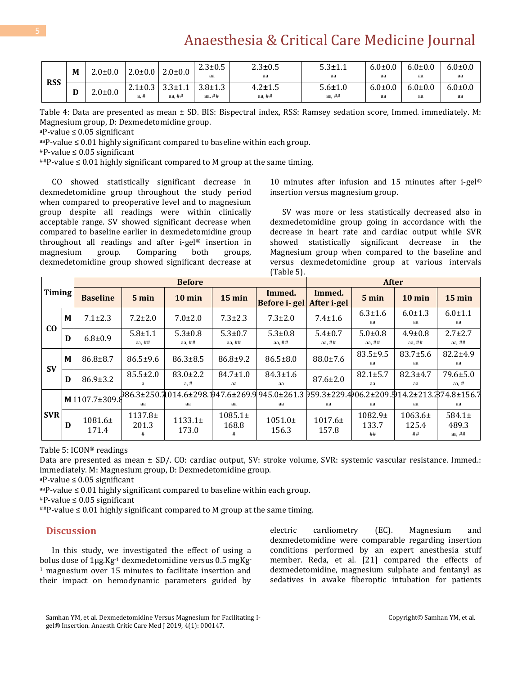# Anaesthesia & Critical Care Medicine Journal

| <b>RSS</b> | M | $2.0 \pm 0.0$ | $2.0 \pm 0.0$            | $2.0 \pm 0.0$             | $2.3 \pm 0.5$<br>aa       | $2.3 \pm 0.5$<br>aa       | $5.3 \pm 1.1$<br>aa       | $6.0 \pm 0.0$<br>aa | $6.0 \pm 0.0$<br>aa | $6.0 \pm 0.0$<br>aa |
|------------|---|---------------|--------------------------|---------------------------|---------------------------|---------------------------|---------------------------|---------------------|---------------------|---------------------|
|            | D | $2.0 \pm 0.0$ | $2.1 \pm 0.3$<br>$a. \#$ | $3.3 \pm 1.1$<br>aa, $##$ | $3.8 \pm 1.3$<br>aa, $##$ | $4.2 \pm 1.5$<br>aa, $##$ | $5.6 \pm 1.0$<br>aa, $##$ | $6.0 \pm 0.0$<br>aa | $6.0 \pm 0.0$<br>aa | $6.0 \pm 0.0$<br>аа |

Table 4: Data are presented as mean ± SD. BIS: Bispectral index, RSS: Ramsey sedation score, Immed. immediately. M: Magnesium group, D: Dexmedetomidine group.

<sup>a</sup>P-value ≤ 0.05 significant

 $a^{2a}P$ -value  $\leq 0.01$  highly significant compared to baseline within each group.

 $*P$ -value  $\leq$  0.05 significant

 $^{\text{#}\text{#}}$ P-value  $\leq 0.01$  highly significant compared to M group at the same timing.

CO showed statistically significant decrease in dexmedetomidine group throughout the study period when compared to preoperative level and to magnesium group despite all readings were within clinically acceptable range. SV showed significant decrease when compared to baseline earlier in dexmedetomidine group throughout all readings and after i-gel® insertion in magnesium group. Comparing both groups, dexmedetomidine group showed significant decrease at

10 minutes after infusion and 15 minutes after i-gel® insertion versus magnesium group.

SV was more or less statistically decreased also in dexmedetomidine group going in accordance with the decrease in heart rate and cardiac output while SVR showed statistically significant decrease in the Magnesium group when compared to the baseline and versus dexmedetomidine group at various intervals (Table 5).

|                |   |                    |                         | <b>Before</b>             |                           |                                                                                                                                              | <b>After</b>                  |                         |                            |                               |  |
|----------------|---|--------------------|-------------------------|---------------------------|---------------------------|----------------------------------------------------------------------------------------------------------------------------------------------|-------------------------------|-------------------------|----------------------------|-------------------------------|--|
| Timing         |   | <b>Baseline</b>    | 5 min                   | $10 \text{ min}$          | $15$ min                  | Immed.<br>Before i-gel                                                                                                                       | Immed.<br>After <i>i</i> -gel | $5 \text{ min}$         | $10 \text{ min}$           | $15 \text{ min}$              |  |
|                | M | $7.1 \pm 2.3$      | $7.2 \pm 2.0$           | $7.0 \pm 2.0$             | $7.3 \pm 2.3$             | $7.3 \pm 2.0$                                                                                                                                | $7.4 \pm 1.6$                 | $6.3 \pm 1.6$<br>aa     | $6.0 \pm 1.3$<br>aa        | $6.0 \pm 1.1$<br>aa           |  |
| C <sub>O</sub> | D | $6.8 \pm 0.9$      | $5.8 + 1.1$<br>aa, $##$ | $5.3 \pm 0.8$<br>aa, $##$ | $5.3 \pm 0.7$<br>aa, $##$ | $5.3 \pm 0.8$<br>aa, $##$                                                                                                                    | $5.4 \pm 0.7$<br>aa, $##$     | $5.0 \pm 0.8$<br>aa, ## | $4.9 \pm 0.8$<br>aa, $##$  | $2.7 \pm 2.7$<br>aa, $##$     |  |
| <b>SV</b>      | M | $86.8 \pm 8.7$     | $86.5 \pm 9.6$          | $86.3 \pm 8.5$            | $86.8 \pm 9.2$            | $86.5 \pm 8.0$                                                                                                                               | $88.0 \pm 7.6$                | $83.5 \pm 9.5$<br>aa    | $83.7 \pm 5.6$<br>aa       | $82.2 \pm 4.9$<br>aa          |  |
|                | D | $86.9 \pm 3.2$     | $85.5 \pm 2.0$          | $83.0 \pm 2.2$<br>a, #    | $84.7 \pm 1.0$<br>aa      | $84.3 \pm 1.6$<br>aa                                                                                                                         | $87.6 \pm 2.0$                | $82.1 \pm 5.7$<br>aa    | $82.3 \pm 4.7$<br>aa       | $79.6 \pm 5.0$<br>aa, H       |  |
| <b>SVR</b>     |   |                    | аа                      | аа                        | аа                        | $\frac{1}{2}$ M $\frac{1}{2}107.7\pm309.8$ 986.3±250.7 014.6±298.1 47.6±269.9 945.0±261.3 959.3±229.4 06.2±209.9 14.2±213.2 74.8±156.7<br>аа | аа                            | aa                      | aa                         | аа                            |  |
|                | D | $1081.6+$<br>171.4 | $1137.8+$<br>201.3<br># | $1133.1+$<br>173.0        | $1085.1\pm$<br>168.8<br># | $1051.0+$<br>156.3                                                                                                                           | 1017.6±<br>157.8              | 1082.9±<br>133.7<br>##  | $1063.6\pm$<br>125.4<br>## | $584.1+$<br>489.3<br>aa, $##$ |  |

Table 5: ICON® readings

Data are presented as mean ± SD/. CO: cardiac output, SV: stroke volume, SVR: systemic vascular resistance. Immed.: immediately. M: Magnesium group, D: Dexmedetomidine group.

<sup>a</sup>P-value ≤ 0.05 significant

 $a^{2a}P$ -value  $\leq 0.01$  highly significant compared to baseline within each group.

 $P$ -value  $\leq$  0.05 significant

 $^{#}P$ -value  $\leq 0.01$  highly significant compared to M group at the same timing.

#### **Discussion**

In this study, we investigated the effect of using a bolus dose of 1µg.Kg-1 dexmedetomidine versus 0.5 mgKg-<sup>1</sup> magnesium over 15 minutes to facilitate insertion and their impact on hemodynamic parameters guided by electric cardiometry (EC). Magnesium and dexmedetomidine were comparable regarding insertion conditions performed by an expert anesthesia stuff member. Reda, et al. [21] compared the effects of dexmedetomidine, magnesium sulphate and fentanyl as sedatives in awake fiberoptic intubation for patients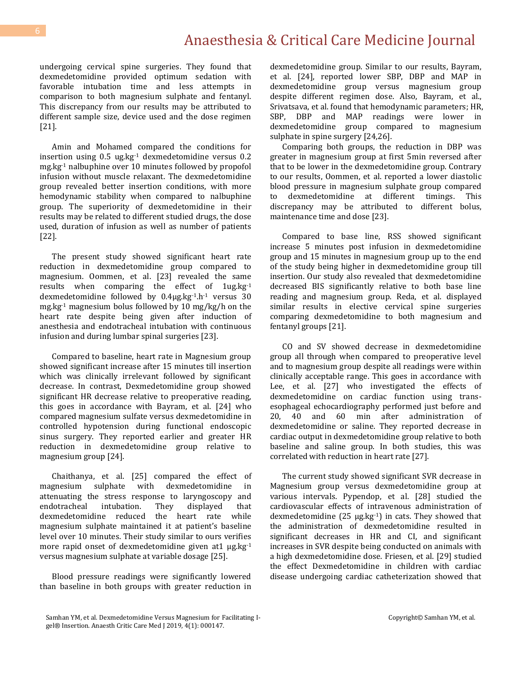### Anaesthesia & Critical Care Medicine Journal

undergoing cervical spine surgeries. They found that dexmedetomidine provided optimum sedation with favorable intubation time and less attempts in comparison to both magnesium sulphate and fentanyl. This discrepancy from our results may be attributed to different sample size, device used and the dose regimen [21].

Amin and Mohamed compared the conditions for insertion using  $0.5$  ug.kg $^{-1}$  dexmedetomidine versus  $0.2$ mg.kg-1 nalbuphine over 10 minutes followed by propofol infusion without muscle relaxant. The dexmedetomidine group revealed better insertion conditions, with more hemodynamic stability when compared to nalbuphine group. The superiority of dexmedetomidine in their results may be related to different studied drugs, the dose used, duration of infusion as well as number of patients [22].

The present study showed significant heart rate reduction in dexmedetomidine group compared to magnesium. Oommen, et al. [23] revealed the same results when comparing the effect of 1ug.kg-1 dexmedetomidine followed by 0.4µg.kg-1.h-1 versus 30 mg.kg-1 magnesium bolus followed by 10 mg/kg/h on the heart rate despite being given after induction of anesthesia and endotracheal intubation with continuous infusion and during lumbar spinal surgeries [23].

Compared to baseline, heart rate in Magnesium group showed significant increase after 15 minutes till insertion which was clinically irrelevant followed by significant decrease. In contrast, Dexmedetomidine group showed significant HR decrease relative to preoperative reading, this goes in accordance with Bayram, et al. [24] who compared magnesium sulfate versus dexmedetomidine in controlled hypotension during functional endoscopic sinus surgery. They reported earlier and greater HR reduction in dexmedetomidine group relative to magnesium group [24].

Chaithanya, et al. [25] compared the effect of magnesium sulphate with dexmedetomidine in attenuating the stress response to laryngoscopy and endotracheal intubation. They displayed that dexmedetomidine reduced the heart rate while magnesium sulphate maintained it at patient's baseline level over 10 minutes. Their study similar to ours verifies more rapid onset of dexmedetomidine given at  $1 \mu g \cdot kg^{-1}$ versus magnesium sulphate at variable dosage [25].

Blood pressure readings were significantly lowered than baseline in both groups with greater reduction in

dexmedetomidine group. Similar to our results, Bayram, et al. [24], reported lower SBP, DBP and MAP in dexmedetomidine group versus magnesium group despite different regimen dose. Also, Bayram, et al., Srivatsava, et al. found that hemodynamic parameters; HR, SBP, DBP and MAP readings were lower in dexmedetomidine group compared to magnesium sulphate in spine surgery [24,26].

Comparing both groups, the reduction in DBP was greater in magnesium group at first 5min reversed after that to be lower in the dexmedetomidine group. Contrary to our results, Oommen, et al. reported a lower diastolic blood pressure in magnesium sulphate group compared to dexmedetomidine at different timings. This discrepancy may be attributed to different bolus, maintenance time and dose [23].

Compared to base line, RSS showed significant increase 5 minutes post infusion in dexmedetomidine group and 15 minutes in magnesium group up to the end of the study being higher in dexmedetomidine group till insertion. Our study also revealed that dexmedetomidine decreased BIS significantly relative to both base line reading and magnesium group. Reda, et al. displayed similar results in elective cervical spine surgeries comparing dexmedetomidine to both magnesium and fentanyl groups [21].

CO and SV showed decrease in dexmedetomidine group all through when compared to preoperative level and to magnesium group despite all readings were within clinically acceptable range. This goes in accordance with Lee, et al. [27] who investigated the effects of dexmedetomidine on cardiac function using transesophageal echocardiography performed just before and 20, 40 and 60 min after administration of dexmedetomidine or saline. They reported decrease in cardiac output in dexmedetomidine group relative to both baseline and saline group. In both studies, this was correlated with reduction in heart rate [27].

The current study showed significant SVR decrease in Magnesium group versus dexmedetomidine group at various intervals. Pypendop, et al. [28] studied the cardiovascular effects of intravenous administration of dexmedetomidine  $(25 \mu g/kg^{-1})$  in cats. They showed that the administration of dexmedetomidine resulted in significant decreases in HR and CI, and significant increases in SVR despite being conducted on animals with a high dexmedetomidine dose. Friesen, et al. [29] studied the effect Dexmedetomidine in children with cardiac disease undergoing cardiac catheterization showed that

Samhan YM, et al. Dexmedetomidine Versus Magnesium for Facilitating Igel® Insertion. Anaesth Critic Care Med J 2019, 4(1): 000147.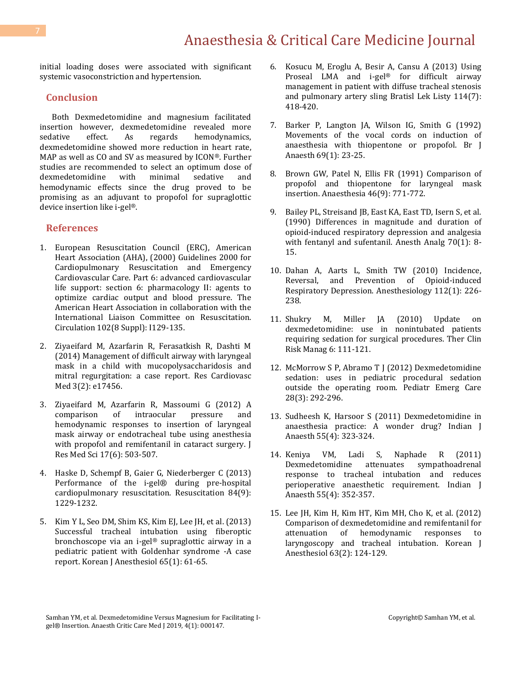initial loading doses were associated with significant systemic vasoconstriction and hypertension.

#### **Conclusion**

Both Dexmedetomidine and magnesium facilitated insertion however, dexmedetomidine revealed more sedative effect. As regards hemodynamics, dexmedetomidine showed more reduction in heart rate, MAP as well as CO and SV as measured by ICON®. Further studies are recommended to select an optimum dose of dexmedetomidine with minimal sedative and hemodynamic effects since the drug proved to be promising as an adjuvant to propofol for supraglottic device insertion like i-gel®.

#### **References**

- 1. [European Resuscitation Council \(ERC\), American](https://www.ncbi.nlm.nih.gov/pubmed/10966670)  [Heart Association \(AHA\), \(2000\) Guidelines 2000 for](https://www.ncbi.nlm.nih.gov/pubmed/10966670)  [Cardiopulmonary Resuscitation and Emergency](https://www.ncbi.nlm.nih.gov/pubmed/10966670)  [Cardiovascular Care. Part 6: advanced cardiovascular](https://www.ncbi.nlm.nih.gov/pubmed/10966670)  [life support: section 6: pharmacology II: agents to](https://www.ncbi.nlm.nih.gov/pubmed/10966670)  [optimize cardiac output and blood pressure. The](https://www.ncbi.nlm.nih.gov/pubmed/10966670)  [American Heart Association in collaboration with the](https://www.ncbi.nlm.nih.gov/pubmed/10966670)  [International Liaison Committee on Resuscitation.](https://www.ncbi.nlm.nih.gov/pubmed/10966670)  [Circulation 102\(8 Suppl\): I129-135.](https://www.ncbi.nlm.nih.gov/pubmed/10966670)
- 2. [Ziyaeifard M, Azarfarin R, Ferasatkish R, Dashti M](https://www.ncbi.nlm.nih.gov/pmc/articles/PMC4253789/)  [\(2014\) Management of difficult airway with laryngeal](https://www.ncbi.nlm.nih.gov/pmc/articles/PMC4253789/)  [mask in a child with mucopolysaccharidosis and](https://www.ncbi.nlm.nih.gov/pmc/articles/PMC4253789/)  [mitral regurgitation: a case report. Res Cardiovasc](https://www.ncbi.nlm.nih.gov/pmc/articles/PMC4253789/)  [Med 3\(2\): e17456.](https://www.ncbi.nlm.nih.gov/pmc/articles/PMC4253789/)
- 3. [Ziyaeifard M, Azarfarin R, Massoumi](https://www.ncbi.nlm.nih.gov/pubmed/23626623) G (2012) A [comparison of intraocular pressure and](https://www.ncbi.nlm.nih.gov/pubmed/23626623)  [hemodynamic responses to insertion of laryngeal](https://www.ncbi.nlm.nih.gov/pubmed/23626623)  [mask airway or endotracheal tube using anesthesia](https://www.ncbi.nlm.nih.gov/pubmed/23626623)  [with propofol and remifentanil in cataract surgery. J](https://www.ncbi.nlm.nih.gov/pubmed/23626623)  [Res Med Sci 17\(6\): 503-507.](https://www.ncbi.nlm.nih.gov/pubmed/23626623)
- 4. [Haske D, Schempf B, Gaier G, Niederberger C \(2013\)](https://www.ncbi.nlm.nih.gov/pubmed/23648215)  [Performance of the i-gel® during pre-hospital](https://www.ncbi.nlm.nih.gov/pubmed/23648215)  [cardiopulmonary resuscitation. Resuscitation 84\(9\):](https://www.ncbi.nlm.nih.gov/pubmed/23648215)  [1229-1232.](https://www.ncbi.nlm.nih.gov/pubmed/23648215)
- 5. Kim Y L, Seo DM, Shim KS, Kim EJ, Lee JH, et al. (2013) Successful tracheal intubation using fiberoptic bronchoscope via an i-gel® supraglottic airway in a pediatric patient with Goldenhar syndrome -A case report. Korean J Anesthesiol 65(1): 61-65.
- 6. [Kosucu M, Eroglu A, Besir A, Cansu A \(2013\) Using](https://www.ncbi.nlm.nih.gov/pubmed/23822629)  [Proseal LMA and i-gel](https://www.ncbi.nlm.nih.gov/pubmed/23822629)<sup>®</sup> for difficult airway [management in patient with diffuse tracheal stenosis](https://www.ncbi.nlm.nih.gov/pubmed/23822629)  [and pulmonary artery sling Bratisl Lek Listy 114\(7\):](https://www.ncbi.nlm.nih.gov/pubmed/23822629)  [418-420.](https://www.ncbi.nlm.nih.gov/pubmed/23822629)
- 7. [Barker P, Langton JA, Wilson IG, Smith G \(1992\)](https://www.ncbi.nlm.nih.gov/pubmed/1637598)  [Movements of the vocal cords on induction of](https://www.ncbi.nlm.nih.gov/pubmed/1637598)  [anaesthesia with thiopentone or propofol. Br J](https://www.ncbi.nlm.nih.gov/pubmed/1637598)  [Anaesth 69\(1\): 23-25.](https://www.ncbi.nlm.nih.gov/pubmed/1637598)
- 8. [Brown GW, Patel N, Ellis FR \(1991\) Comparison of](https://www.ncbi.nlm.nih.gov/pubmed/1928681)  [propofol and thiopentone for laryngeal mask](https://www.ncbi.nlm.nih.gov/pubmed/1928681)  [insertion. Anaesthesia 46\(9\): 771-772.](https://www.ncbi.nlm.nih.gov/pubmed/1928681)
- 9. [Bailey PL, Streisand JB, East KA, East TD, Isern S, et al.](https://www.ncbi.nlm.nih.gov/pubmed/2136976)  [\(1990\) Differences in magnitude and duration of](https://www.ncbi.nlm.nih.gov/pubmed/2136976)  [opioid-induced respiratory depression and analgesia](https://www.ncbi.nlm.nih.gov/pubmed/2136976)  [with fentanyl and sufentanil. Anesth Analg 70\(1\): 8-](https://www.ncbi.nlm.nih.gov/pubmed/2136976) [15.](https://www.ncbi.nlm.nih.gov/pubmed/2136976)
- 10. [Dahan A, Aarts L, Smith TW \(2010\) Incidence,](https://www.ncbi.nlm.nih.gov/pubmed/20010421)  [Reversal, and Prevention of Opioid-induced](https://www.ncbi.nlm.nih.gov/pubmed/20010421)  [Respiratory Depression. Anesthesiology 112\(1\): 226-](https://www.ncbi.nlm.nih.gov/pubmed/20010421) [238.](https://www.ncbi.nlm.nih.gov/pubmed/20010421)
- 11. [Shukry M, Miller JA \(2010\) Update on](https://www.ncbi.nlm.nih.gov/pubmed/20421911)  [dexmedetomidine: use in nonintubated patients](https://www.ncbi.nlm.nih.gov/pubmed/20421911)  [requiring sedation for surgical](https://www.ncbi.nlm.nih.gov/pubmed/20421911) procedures. Ther Clin [Risk Manag 6: 111-121.](https://www.ncbi.nlm.nih.gov/pubmed/20421911)
- 12. [McMorrow S P, Abramo T J \(2012\) Dexmedetomidine](https://www.ncbi.nlm.nih.gov/pubmed/22391930)  [sedation: uses in pediatric procedural sedation](https://www.ncbi.nlm.nih.gov/pubmed/22391930)  [outside the operating room. Pediatr Emerg Care](https://www.ncbi.nlm.nih.gov/pubmed/22391930)  28(3): [292-296.](https://www.ncbi.nlm.nih.gov/pubmed/22391930)
- 13. [Sudheesh K, Harsoor S \(2011\) Dexmedetomidine in](http://www.ijaweb.org/article.asp?issn=0019-5049;year=2011;volume=55;issue=4;spage=323;epage=324;aulast=Sudheesh)  [anaesthesia practice: A wonder drug? Indian J](http://www.ijaweb.org/article.asp?issn=0019-5049;year=2011;volume=55;issue=4;spage=323;epage=324;aulast=Sudheesh)  [Anaesth 55\(4\): 323-324.](http://www.ijaweb.org/article.asp?issn=0019-5049;year=2011;volume=55;issue=4;spage=323;epage=324;aulast=Sudheesh)
- 14. [Keniya VM, Ladi S, Naphade R \(2011\)](https://www.ncbi.nlm.nih.gov/pubmed/22013250)  [Dexmedetomidine attenuates sympathoadrenal](https://www.ncbi.nlm.nih.gov/pubmed/22013250)  [response to tracheal intubation and reduces](https://www.ncbi.nlm.nih.gov/pubmed/22013250)  [perioperative anaesthetic requirement. Indian J](https://www.ncbi.nlm.nih.gov/pubmed/22013250)  [Anaesth 55\(4\): 352-357.](https://www.ncbi.nlm.nih.gov/pubmed/22013250)
- 15. [Lee JH, Kim H, Kim HT, Kim MH, Cho K, et al. \(2012\)](https://www.ncbi.nlm.nih.gov/pmc/articles/PMC3427804/)  [Comparison of dexmedetomidine and remifentanil for](https://www.ncbi.nlm.nih.gov/pmc/articles/PMC3427804/)  [attenuation of hemodynamic responses to](https://www.ncbi.nlm.nih.gov/pmc/articles/PMC3427804/)  [laryngoscopy and tracheal intubation. Korean J](https://www.ncbi.nlm.nih.gov/pmc/articles/PMC3427804/)  [Anesthesiol 63\(2\): 124-129.](https://www.ncbi.nlm.nih.gov/pmc/articles/PMC3427804/)